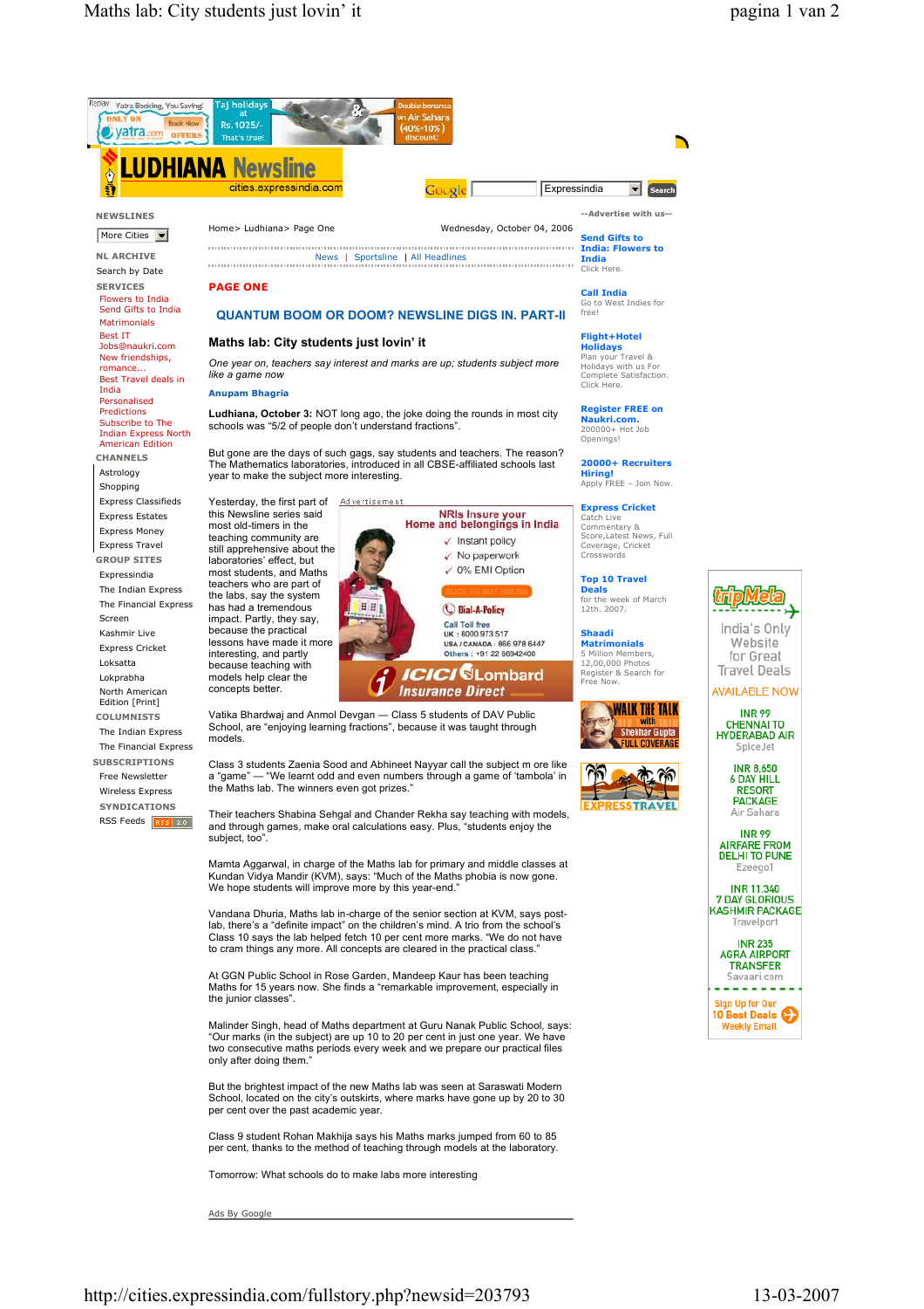

Tomorrow: What schools do to make labs more interesting

Ads By Google



**INR 99** 

**INR 99**